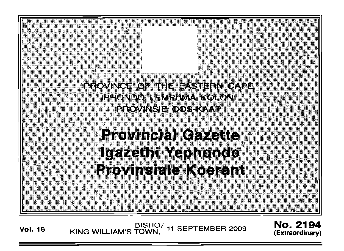

**Vol. 16** BISHO/ 11 SEPTEMBER 2009 **No. 2194**<br>Extraordinary) KING WILLIAM'S TOWN,

**(Extraordinary)**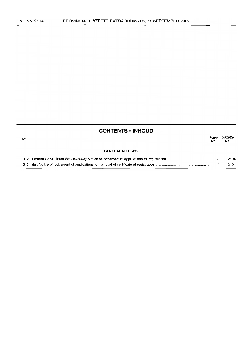No.

|     | <b>CONTENTS · INHOUD</b> |             |                |
|-----|--------------------------|-------------|----------------|
| No. |                          | Page<br>No. | Gazette<br>No. |
|     | <b>GENERAL NOTICES</b>   |             |                |
|     |                          |             | 2194           |
|     |                          | 4           | 2194           |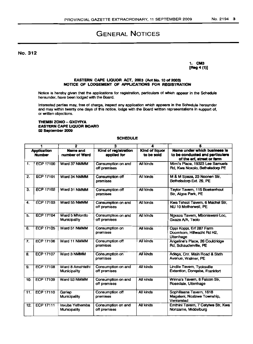# GENERAL NOTICES

No. 312

1. CM3 [Reg 4 (1)]

## EASTERN CAPE UQUOR ACT, 2003 (Act No. 10 of 2003) NOTICE OF LODGEMENT OF APPLICATIONS FOR REGISTRATION

Notice is hereby given that the applications for registration, particulars of which appear in the Schedule hereunder, have been lodged with the Board.

Interested parties may, free of charge, inspect any application which appears in the Schedule hereunder and may within twenty one days of this notice, lodge with the Board written representations in support of, or written objections.

### THEMBI ZONO - GXOYIYA EASTeRN CAPE LIQUOR BOARD 02 September 2009

## **SCHEDULE**

| 1                                   |                  | $\overline{2}$                   | з                                   | 4                                   | 5                                                                                             |
|-------------------------------------|------------------|----------------------------------|-------------------------------------|-------------------------------------|-----------------------------------------------------------------------------------------------|
| <b>Application</b><br><b>Number</b> |                  | Name and<br>number of Ward       | Kind of registration<br>applied for | <b>Kind of liquor</b><br>to be sold | Name under which business is<br>to be conducted and particulars<br>of the erf, street or farm |
| 1.                                  | <b>ECP 17100</b> | Ward 37 NMMM                     | Consumption on and<br>off premises  | <b>All kinds</b>                    | Mimi's Place, 19323 Lee Samuels<br>Rd, Kwa Noxolo, Bethelsdorp PE                             |
| 2.                                  | <b>ECP 17101</b> | Ward 34 NMMM                     | Consumption off<br>premises         | <b>All kinds</b>                    | M & M Spaza, 23 Noonen Str,<br>Bethelsdorp Ext. 29, PE                                        |
| 3.                                  | <b>ECP 17102</b> | Ward 31 NMMM                     | Consumption off<br>premises         | All kinds                           | Taylor Tavern, 115 Boekenhout<br>Str, Algoa Park, PE                                          |
| 4.                                  | <b>ECP 17103</b> | Ward 55 NMMM                     | Consumption on and<br>off premises  | All kinds                           | Kwa Tshezi Tavern, 6 Machel Str.<br>NU 10 Motherwell, PE                                      |
| 5.                                  | <b>ECP 17104</b> | Ward 5 Mhloritto<br>Municipality | Consumption on and<br>off premises  | All kinds                           | Ngxaza Tavern, Mbonisweni Loc,<br>Gxaza A/A, Tsolo                                            |
| 6.                                  | <b>ECP 17105</b> | Ward 51 NMMM                     | Consumption on<br>premises          | <b>All kinds</b>                    | Oppi Koppi, Erf 287 Farm<br>Doomkom, Hillwacht Rd H2,<br>Uitenhage                            |
| 7.                                  | ECP 17106        | Ward 11 NMMM                     | Consumption off<br>premises         | <b>All kinds</b>                    | Angeline's Place, 26 Couldridge<br>Rd. Schauderville. PE                                      |
| 8.                                  | <b>ECP 17107</b> | Ward 3 NMMM                      | Consumption on<br>premises          | <b>All kinds</b>                    | Adega, Cnr. Main Road & Sixth<br>Avenue, Walmer, PE                                           |
| 9.                                  | <b>ECP 17108</b> | Ward 8 Amahlathi<br>Municipality | Consumption on and<br>off premises  | All kinds                           | Lindile Tavern, Tyoksville<br>Extention, Dongaba, Frankfort                                   |
| 10.                                 | <b>ECP 17109</b> | Ward 53 NMMM                     | Consumption on and<br>off premises  | All kinds                           | Winna's Tavern, 6 Falcon Str,<br>Rosedale, Uitenhage                                          |
| 11.                                 | ECP 17110        | Gariep<br><b>Municipality</b>    | Consumption off<br>premises         | All kinds                           | Sophilisana Tavern, 1618<br>Magaleni, Nozizwe Township,<br>Venterstad                         |
| 12.                                 | <b>ECP 17111</b> | Inxuba Yethemba<br>Municipality  | Consumption on and<br>off premises  | <b>All kinds</b>                    | Emthini Tavern, 7 Cetyiwe Str, Kwa<br>Nonzame, Middelburg                                     |